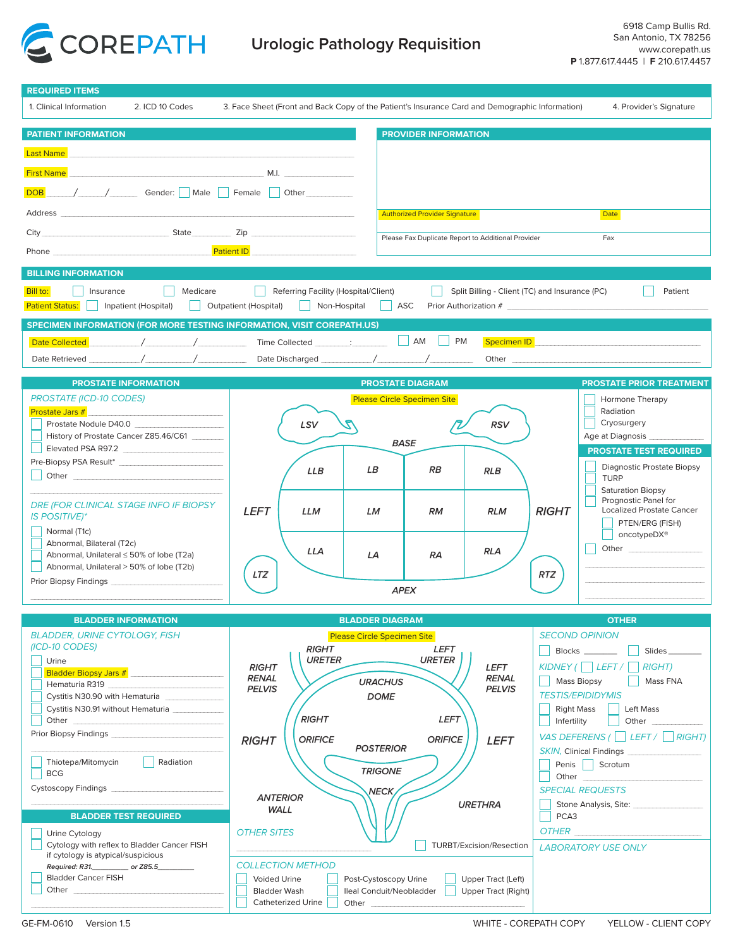

| <b>REQUIRED ITEMS</b>                                                                                                                                                                                                                                                   |                                                                                                 |                                                                                                |                                                                                                                                                                                                                                |
|-------------------------------------------------------------------------------------------------------------------------------------------------------------------------------------------------------------------------------------------------------------------------|-------------------------------------------------------------------------------------------------|------------------------------------------------------------------------------------------------|--------------------------------------------------------------------------------------------------------------------------------------------------------------------------------------------------------------------------------|
| 1. Clinical Information<br>2. ICD 10 Codes                                                                                                                                                                                                                              | 3. Face Sheet (Front and Back Copy of the Patient's Insurance Card and Demographic Information) |                                                                                                | 4. Provider's Signature                                                                                                                                                                                                        |
| <b>PATIENT INFORMATION</b>                                                                                                                                                                                                                                              |                                                                                                 | <b>PROVIDER INFORMATION</b>                                                                    |                                                                                                                                                                                                                                |
| <b>Last Name</b>                                                                                                                                                                                                                                                        |                                                                                                 |                                                                                                |                                                                                                                                                                                                                                |
|                                                                                                                                                                                                                                                                         |                                                                                                 |                                                                                                |                                                                                                                                                                                                                                |
| DOB / / / Gender: Male Female Other                                                                                                                                                                                                                                     |                                                                                                 |                                                                                                |                                                                                                                                                                                                                                |
|                                                                                                                                                                                                                                                                         |                                                                                                 |                                                                                                |                                                                                                                                                                                                                                |
| Address and the contract of the contract of the contract of the contract of the contract of the contract of the contract of the contract of the contract of the contract of the contract of the contract of the contract of th                                          |                                                                                                 | <b>Authorized Provider Signature</b>                                                           | <b>Date</b>                                                                                                                                                                                                                    |
| City State Zip                                                                                                                                                                                                                                                          |                                                                                                 | Please Fax Duplicate Report to Additional Provider                                             | Fax                                                                                                                                                                                                                            |
|                                                                                                                                                                                                                                                                         |                                                                                                 |                                                                                                |                                                                                                                                                                                                                                |
| <b>BILLING INFORMATION</b>                                                                                                                                                                                                                                              |                                                                                                 |                                                                                                |                                                                                                                                                                                                                                |
| Medicare<br>Bill to:<br>Insurance<br>Referring Facility (Hospital/Client)<br>Split Billing - Client (TC) and Insurance (PC)<br>Patient<br>    Outpatient (Hospital)<br>Patient Status:     Inpatient (Hospital)<br>    Non-Hospital    <br>ASC<br>Prior Authorization # |                                                                                                 |                                                                                                |                                                                                                                                                                                                                                |
| SPECIMEN INFORMATION (FOR MORE TESTING INFORMATION, VISIT COREPATH.US)                                                                                                                                                                                                  |                                                                                                 |                                                                                                |                                                                                                                                                                                                                                |
| Specimen ID Specimen ID Speciment Communication of the Speciment Communication of the Speciment Communication<br>Date Collected                                                                                                                                         |                                                                                                 |                                                                                                |                                                                                                                                                                                                                                |
|                                                                                                                                                                                                                                                                         |                                                                                                 |                                                                                                |                                                                                                                                                                                                                                |
| <b>PROSTATE INFORMATION</b>                                                                                                                                                                                                                                             |                                                                                                 | <b>PROSTATE DIAGRAM</b>                                                                        | <b>PROSTATE PRIOR TREATMENT</b>                                                                                                                                                                                                |
| <b>PROSTATE (ICD-10 CODES)</b>                                                                                                                                                                                                                                          |                                                                                                 | <b>Please Circle Specimen Site</b>                                                             | Hormone Therapy                                                                                                                                                                                                                |
| Prostate Jars #                                                                                                                                                                                                                                                         |                                                                                                 |                                                                                                | Radiation<br>Cryosurgery                                                                                                                                                                                                       |
| Prostate Nodule D40.0<br>History of Prostate Cancer Z85.46/C61                                                                                                                                                                                                          | LSV                                                                                             | <b>RSV</b>                                                                                     | Age at Diagnosis                                                                                                                                                                                                               |
| Elevated PSA R97.2                                                                                                                                                                                                                                                      |                                                                                                 | <b>BASE</b>                                                                                    | <b>PROSTATE TEST REQUIRED</b>                                                                                                                                                                                                  |
|                                                                                                                                                                                                                                                                         | <b>LLB</b>                                                                                      | LB<br><b>RB</b><br><b>RLB</b>                                                                  | Diagnostic Prostate Biopsy                                                                                                                                                                                                     |
|                                                                                                                                                                                                                                                                         |                                                                                                 |                                                                                                | <b>TURP</b><br><b>Saturation Biopsy</b>                                                                                                                                                                                        |
| DRE (FOR CLINICAL STAGE INFO IF BIOPSY                                                                                                                                                                                                                                  |                                                                                                 |                                                                                                | Prognostic Panel for                                                                                                                                                                                                           |
| <b>IS POSITIVE)*</b>                                                                                                                                                                                                                                                    | <b>LEFT</b><br><b>LLM</b>                                                                       | <b>RLM</b><br><b>RM</b><br>LM                                                                  | <b>RIGHT</b><br><b>Localized Prostate Cancer</b><br>PTEN/ERG (FISH)                                                                                                                                                            |
| Normal (T1c)                                                                                                                                                                                                                                                            |                                                                                                 |                                                                                                | oncotypeDX <sup>®</sup>                                                                                                                                                                                                        |
| Abnormal, Bilateral (T2c)<br>Abnormal, Unilateral ≤ 50% of lobe (T2a)                                                                                                                                                                                                   | LLA                                                                                             | <b>RLA</b><br>LA<br><b>RA</b>                                                                  | Other and the control of the control of the control of the control of the control of the control of the control of the control of the control of the control of the control of the control of the control of the control of th |
| Abnormal, Unilateral > 50% of lobe (T2b)                                                                                                                                                                                                                                | LTZ                                                                                             |                                                                                                | <b>RTZ</b>                                                                                                                                                                                                                     |
| Prior Biopsy Findings <b>Contract Contract Contract Contract Contract Contract Contract Contract Control Contract</b>                                                                                                                                                   |                                                                                                 | <b>APEX</b>                                                                                    |                                                                                                                                                                                                                                |
|                                                                                                                                                                                                                                                                         |                                                                                                 |                                                                                                |                                                                                                                                                                                                                                |
| <b>BLADDER INFORMATION</b>                                                                                                                                                                                                                                              |                                                                                                 | <b>BLADDER DIAGRAM</b>                                                                         | <b>OTHER</b>                                                                                                                                                                                                                   |
| <b>BLADDER, URINE CYTOLOGY, FISH</b>                                                                                                                                                                                                                                    |                                                                                                 | <b>Please Circle Specimen Site</b>                                                             | <b>SECOND OPINION</b>                                                                                                                                                                                                          |
| (ICD-10 CODES)                                                                                                                                                                                                                                                          | <b>RIGHT</b><br><b>URETER</b>                                                                   | <b>LEFT</b><br><b>URETER</b>                                                                   | Blocks _______<br>Slides_                                                                                                                                                                                                      |
| Urine<br>Bladder Biopsy Jars # Bladder Biopsy Jars # Bladder Biopsy Jars # Bladder # 1999                                                                                                                                                                               | <b>RIGHT</b>                                                                                    | <b>LEFT</b>                                                                                    | $KIDNEY$   LEFT /<br><b>RIGHT</b> )                                                                                                                                                                                            |
| Hematuria R319                                                                                                                                                                                                                                                          | <b>RENAL</b><br><b>PELVIS</b>                                                                   | <b>RENAL</b><br><b>URACHUS</b><br><b>PELVIS</b>                                                | Mass Biopsy<br>Mass FNA                                                                                                                                                                                                        |
| Cystitis N30.90 with Hematuria<br>Cystitis N30.91 without Hematuria                                                                                                                                                                                                     |                                                                                                 | <b>DOME</b>                                                                                    | <b>TESTIS/EPIDIDYMIS</b><br>Left Mass<br><b>Right Mass</b><br>- 1                                                                                                                                                              |
| Other                                                                                                                                                                                                                                                                   | <b>RIGHT</b>                                                                                    | <b>LEFT</b>                                                                                    | Infertility<br>Other                                                                                                                                                                                                           |
| Prior Biopsy Findings [1986]                                                                                                                                                                                                                                            | <b>ORIFICE</b><br><b>RIGHT</b>                                                                  | <b>ORIFICE</b><br><b>LEFT</b>                                                                  | VAS DEFERENS ( $\Box$ LEFT / $\Box$ RIGHT)                                                                                                                                                                                     |
|                                                                                                                                                                                                                                                                         |                                                                                                 | <b>POSTERIOR</b>                                                                               | <b>SKIN, Clinical Findings</b>                                                                                                                                                                                                 |
| Thiotepa/Mitomycin<br>Radiation<br><b>BCG</b>                                                                                                                                                                                                                           |                                                                                                 | <b>TRIGONE</b>                                                                                 | Penis Scrotum<br>Other                                                                                                                                                                                                         |
| Cystoscopy Findings <b>Cystoscopy Findings</b>                                                                                                                                                                                                                          |                                                                                                 | NECK,                                                                                          | <b>SPECIAL REQUESTS</b>                                                                                                                                                                                                        |
|                                                                                                                                                                                                                                                                         | <b>ANTERIOR</b><br>WALL                                                                         | <b>URETHRA</b>                                                                                 | Stone Analysis, Site:                                                                                                                                                                                                          |
| <b>BLADDER TEST REQUIRED</b>                                                                                                                                                                                                                                            |                                                                                                 |                                                                                                | PCA3                                                                                                                                                                                                                           |
| Urine Cytology<br>Cytology with reflex to Bladder Cancer FISH                                                                                                                                                                                                           | <b>OTHER SITES</b>                                                                              |                                                                                                | <b>OTHER CONSTRUCTER</b>                                                                                                                                                                                                       |
| if cytology is atypical/suspicious                                                                                                                                                                                                                                      |                                                                                                 | TURBT/Excision/Resection                                                                       | <b>LABORATORY USE ONLY</b>                                                                                                                                                                                                     |
| Required: R31. ___________ or Z85.5__________<br><b>Bladder Cancer FISH</b>                                                                                                                                                                                             | <b>COLLECTION METHOD</b><br>Voided Urine                                                        |                                                                                                |                                                                                                                                                                                                                                |
| Other                                                                                                                                                                                                                                                                   | <b>Bladder Wash</b>                                                                             | Post-Cystoscopy Urine<br>Upper Tract (Left)<br>lleal Conduit/Neobladder<br>Upper Tract (Right) |                                                                                                                                                                                                                                |
|                                                                                                                                                                                                                                                                         | <b>Catheterized Urine</b>                                                                       | Other                                                                                          |                                                                                                                                                                                                                                |